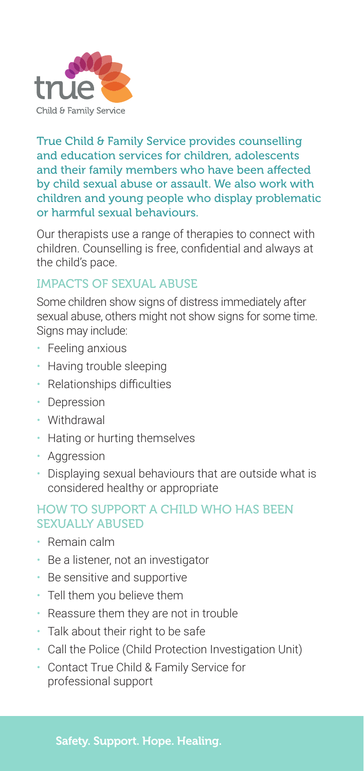

True Child & Family Service provides counselling and education services for children, adolescents and their family members who have been affected by child sexual abuse or assault. We also work with children and young people who display problematic or harmful sexual behaviours.

Our therapists use a range of therapies to connect with children. Counselling is free, confidential and always at the child's pace.

## IMPACTS OF SEXUAL ABUSE

Some children show signs of distress immediately after sexual abuse, others might not show signs for some time. Signs may include:

- Feeling anxious
- Having trouble sleeping
- Relationships difficulties
- Depression
- Withdrawal
- Hating or hurting themselves
- Aggression
- Displaying sexual behaviours that are outside what is considered healthy or appropriate

## HOW TO SUPPORT A CHILD WHO HAS REEN SEXUALLY ABUSED

- Remain calm
- Be a listener, not an investigator
- Be sensitive and supportive
- Tell them you believe them
- Reassure them they are not in trouble
- Talk about their right to be safe
- Call the Police (Child Protection Investigation Unit)
- Contact True Child & Family Service for professional support